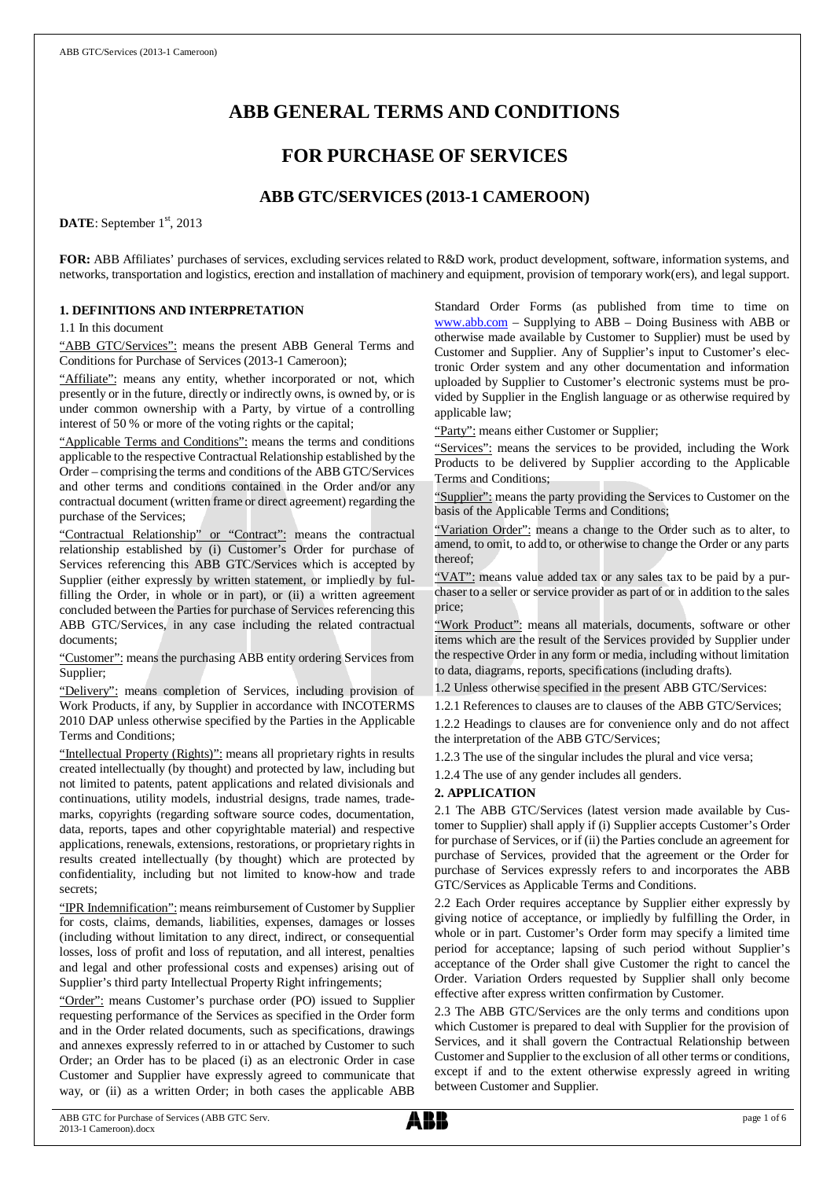# **ABB GENERAL TERMS AND CONDITIONS**

# **FOR PURCHASE OF SERVICES**

## **ABB GTC/SERVICES (2013-1 CAMEROON)**

DATE: September 1<sup>st</sup>, 2013

**FOR:** ABB Affiliates' purchases of services, excluding services related to R&D work, product development, software, information systems, and networks, transportation and logistics, erection and installation of machinery and equipment, provision of temporary work(ers), and legal support.

## **1. DEFINITIONS AND INTERPRETATION**

1.1 In this document

"ABB GTC/Services": means the present ABB General Terms and Conditions for Purchase of Services (2013-1 Cameroon);

"Affiliate": means any entity, whether incorporated or not, which presently or in the future, directly or indirectly owns, is owned by, or is under common ownership with a Party, by virtue of a controlling interest of 50 % or more of the voting rights or the capital;

"Applicable Terms and Conditions": means the terms and conditions applicable to the respective Contractual Relationship established by the Order – comprising the terms and conditions of the ABB GTC/Services and other terms and conditions contained in the Order and/or any contractual document (written frame or direct agreement) regarding the purchase of the Services;

"Contractual Relationship" or "Contract": means the contractual relationship established by (i) Customer's Order for purchase of Services referencing this ABB GTC/Services which is accepted by Supplier (either expressly by written statement, or impliedly by fulfilling the Order, in whole or in part), or (ii) a written agreement concluded between the Parties for purchase of Services referencing this ABB GTC/Services, in any case including the related contractual documents;

"Customer": means the purchasing ABB entity ordering Services from Supplier;

"Delivery": means completion of Services, including provision of Work Products, if any, by Supplier in accordance with INCOTERMS 2010 DAP unless otherwise specified by the Parties in the Applicable Terms and Conditions;

"Intellectual Property (Rights)": means all proprietary rights in results created intellectually (by thought) and protected by law, including but not limited to patents, patent applications and related divisionals and continuations, utility models, industrial designs, trade names, trademarks, copyrights (regarding software source codes, documentation, data, reports, tapes and other copyrightable material) and respective applications, renewals, extensions, restorations, or proprietary rights in results created intellectually (by thought) which are protected by confidentiality, including but not limited to know-how and trade secrets;

"IPR Indemnification": means reimbursement of Customer by Supplier for costs, claims, demands, liabilities, expenses, damages or losses (including without limitation to any direct, indirect, or consequential losses, loss of profit and loss of reputation, and all interest, penalties and legal and other professional costs and expenses) arising out of Supplier's third party Intellectual Property Right infringements;

"Order": means Customer's purchase order (PO) issued to Supplier requesting performance of the Services as specified in the Order form and in the Order related documents, such as specifications, drawings and annexes expressly referred to in or attached by Customer to such Order; an Order has to be placed (i) as an electronic Order in case Customer and Supplier have expressly agreed to communicate that way, or (ii) as a written Order; in both cases the applicable ABB Standard Order Forms (as published from time to time on [www.abb.com](http://www.abb.com/) – Supplying to ABB – Doing Business with ABB or otherwise made available by Customer to Supplier) must be used by Customer and Supplier. Any of Supplier's input to Customer's electronic Order system and any other documentation and information uploaded by Supplier to Customer's electronic systems must be provided by Supplier in the English language or as otherwise required by applicable law;

"Party": means either Customer or Supplier;

"Services": means the services to be provided, including the Work Products to be delivered by Supplier according to the Applicable Terms and Conditions;

"Supplier": means the party providing the Services to Customer on the basis of the Applicable Terms and Conditions;

"Variation Order": means a change to the Order such as to alter, to amend, to omit, to add to, or otherwise to change the Order or any parts thereof;

"VAT": means value added tax or any sales tax to be paid by a purchaser to a seller or service provider as part of or in addition to the sales price;

"Work Product": means all materials, documents, software or other items which are the result of the Services provided by Supplier under the respective Order in any form or media, including without limitation to data, diagrams, reports, specifications (including drafts).

1.2 Unless otherwise specified in the present ABB GTC/Services:

1.2.1 References to clauses are to clauses of the ABB GTC/Services; 1.2.2 Headings to clauses are for convenience only and do not affect the interpretation of the ABB GTC/Services;

1.2.3 The use of the singular includes the plural and vice versa;

1.2.4 The use of any gender includes all genders.

## **2. APPLICATION**

2.1 The ABB GTC/Services (latest version made available by Customer to Supplier) shall apply if (i) Supplier accepts Customer's Order for purchase of Services, or if (ii) the Parties conclude an agreement for purchase of Services, provided that the agreement or the Order for purchase of Services expressly refers to and incorporates the ABB GTC/Services as Applicable Terms and Conditions.

2.2 Each Order requires acceptance by Supplier either expressly by giving notice of acceptance, or impliedly by fulfilling the Order, in whole or in part. Customer's Order form may specify a limited time period for acceptance; lapsing of such period without Supplier's acceptance of the Order shall give Customer the right to cancel the Order. Variation Orders requested by Supplier shall only become effective after express written confirmation by Customer.

2.3 The ABB GTC/Services are the only terms and conditions upon which Customer is prepared to deal with Supplier for the provision of Services, and it shall govern the Contractual Relationship between Customer and Supplier to the exclusion of all other terms or conditions, except if and to the extent otherwise expressly agreed in writing between Customer and Supplier.

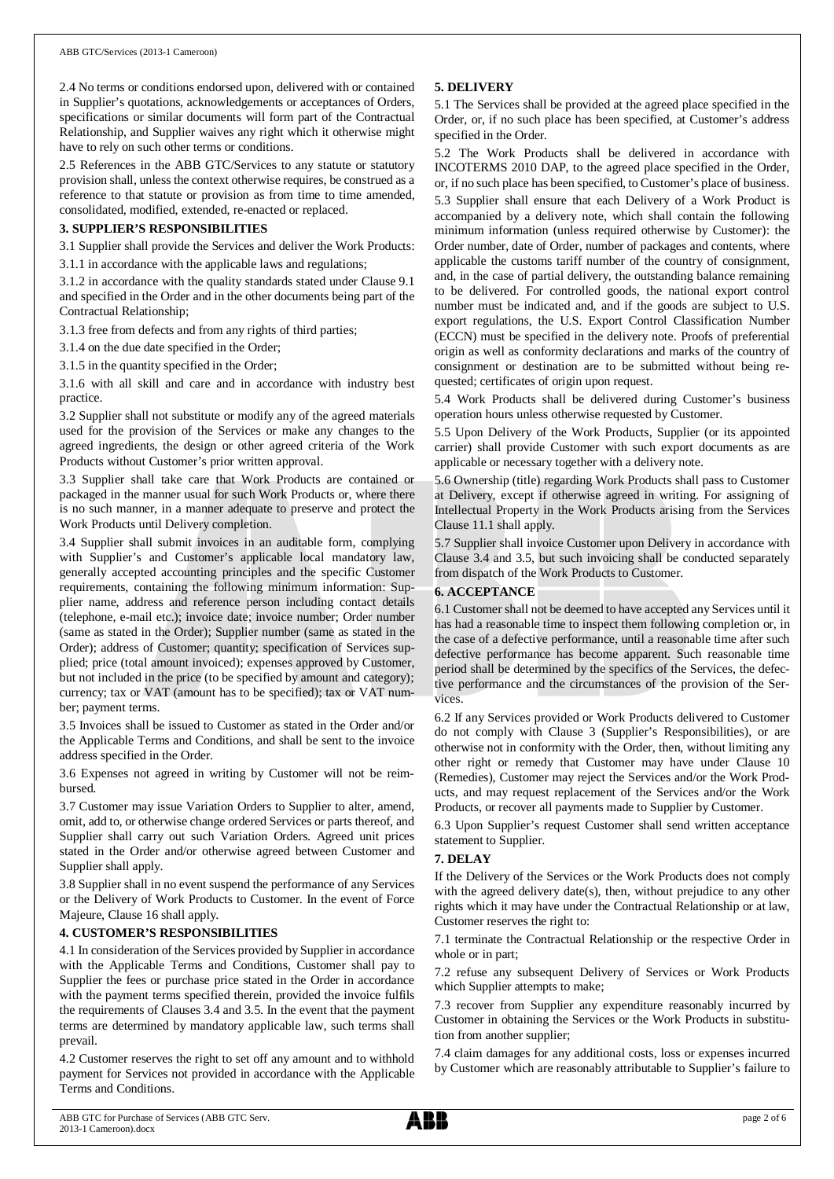2.4 No terms or conditions endorsed upon, delivered with or contained in Supplier's quotations, acknowledgements or acceptances of Orders, specifications or similar documents will form part of the Contractual Relationship, and Supplier waives any right which it otherwise might have to rely on such other terms or conditions.

2.5 References in the ABB GTC/Services to any statute or statutory provision shall, unless the context otherwise requires, be construed as a reference to that statute or provision as from time to time amended, consolidated, modified, extended, re-enacted or replaced.

## **3. SUPPLIER'S RESPONSIBILITIES**

3.1 Supplier shall provide the Services and deliver the Work Products: 3.1.1 in accordance with the applicable laws and regulations;

3.1.2 in accordance with the quality standards stated under Clause 9.1 and specified in the Order and in the other documents being part of the

Contractual Relationship; 3.1.3 free from defects and from any rights of third parties;

3.1.4 on the due date specified in the Order;

3.1.5 in the quantity specified in the Order;

3.1.6 with all skill and care and in accordance with industry best practice.

3.2 Supplier shall not substitute or modify any of the agreed materials used for the provision of the Services or make any changes to the agreed ingredients, the design or other agreed criteria of the Work Products without Customer's prior written approval.

3.3 Supplier shall take care that Work Products are contained or packaged in the manner usual for such Work Products or, where there is no such manner, in a manner adequate to preserve and protect the Work Products until Delivery completion.

3.4 Supplier shall submit invoices in an auditable form, complying with Supplier's and Customer's applicable local mandatory law, generally accepted accounting principles and the specific Customer requirements, containing the following minimum information: Supplier name, address and reference person including contact details (telephone, e-mail etc.); invoice date; invoice number; Order number (same as stated in the Order); Supplier number (same as stated in the Order); address of Customer; quantity; specification of Services supplied; price (total amount invoiced); expenses approved by Customer, but not included in the price (to be specified by amount and category); currency; tax or VAT (amount has to be specified); tax or VAT number; payment terms.

3.5 Invoices shall be issued to Customer as stated in the Order and/or the Applicable Terms and Conditions, and shall be sent to the invoice address specified in the Order.

3.6 Expenses not agreed in writing by Customer will not be reimbursed.

3.7 Customer may issue Variation Orders to Supplier to alter, amend, omit, add to, or otherwise change ordered Services or parts thereof, and Supplier shall carry out such Variation Orders. Agreed unit prices stated in the Order and/or otherwise agreed between Customer and Supplier shall apply.

3.8 Supplier shall in no event suspend the performance of any Services or the Delivery of Work Products to Customer. In the event of Force Majeure, Clause 16 shall apply.

## **4. CUSTOMER'S RESPONSIBILITIES**

4.1 In consideration of the Services provided by Supplier in accordance with the Applicable Terms and Conditions, Customer shall pay to Supplier the fees or purchase price stated in the Order in accordance with the payment terms specified therein, provided the invoice fulfils the requirements of Clauses 3.4 and 3.5. In the event that the payment terms are determined by mandatory applicable law, such terms shall prevail.

4.2 Customer reserves the right to set off any amount and to withhold payment for Services not provided in accordance with the Applicable Terms and Conditions.

## **5. DELIVERY**

5.1 The Services shall be provided at the agreed place specified in the Order, or, if no such place has been specified, at Customer's address specified in the Order.

5.2 The Work Products shall be delivered in accordance with INCOTERMS 2010 DAP, to the agreed place specified in the Order, or, if no such place has been specified, to Customer's place of business. 5.3 Supplier shall ensure that each Delivery of a Work Product is accompanied by a delivery note, which shall contain the following minimum information (unless required otherwise by Customer): the Order number, date of Order, number of packages and contents, where applicable the customs tariff number of the country of consignment, and, in the case of partial delivery, the outstanding balance remaining to be delivered. For controlled goods, the national export control number must be indicated and, and if the goods are subject to U.S. export regulations, the U.S. Export Control Classification Number (ECCN) must be specified in the delivery note. Proofs of preferential origin as well as conformity declarations and marks of the country of consignment or destination are to be submitted without being requested; certificates of origin upon request.

5.4 Work Products shall be delivered during Customer's business operation hours unless otherwise requested by Customer.

5.5 Upon Delivery of the Work Products, Supplier (or its appointed carrier) shall provide Customer with such export documents as are applicable or necessary together with a delivery note.

5.6 Ownership (title) regarding Work Products shall pass to Customer at Delivery, except if otherwise agreed in writing. For assigning of Intellectual Property in the Work Products arising from the Services Clause 11.1 shall apply.

5.7 Supplier shall invoice Customer upon Delivery in accordance with Clause 3.4 and 3.5, but such invoicing shall be conducted separately from dispatch of the Work Products to Customer.

## **6. ACCEPTANCE**

6.1 Customer shall not be deemed to have accepted any Services until it has had a reasonable time to inspect them following completion or, in the case of a defective performance, until a reasonable time after such defective performance has become apparent. Such reasonable time period shall be determined by the specifics of the Services, the defective performance and the circumstances of the provision of the Services.

6.2 If any Services provided or Work Products delivered to Customer do not comply with Clause 3 (Supplier's Responsibilities), or are otherwise not in conformity with the Order, then, without limiting any other right or remedy that Customer may have under Clause 10 (Remedies), Customer may reject the Services and/or the Work Products, and may request replacement of the Services and/or the Work Products, or recover all payments made to Supplier by Customer.

6.3 Upon Supplier's request Customer shall send written acceptance statement to Supplier.

## **7. DELAY**

If the Delivery of the Services or the Work Products does not comply with the agreed delivery date(s), then, without prejudice to any other rights which it may have under the Contractual Relationship or at law, Customer reserves the right to:

7.1 terminate the Contractual Relationship or the respective Order in whole or in part;

7.2 refuse any subsequent Delivery of Services or Work Products which Supplier attempts to make;

7.3 recover from Supplier any expenditure reasonably incurred by Customer in obtaining the Services or the Work Products in substitution from another supplier;

7.4 claim damages for any additional costs, loss or expenses incurred by Customer which are reasonably attributable to Supplier's failure to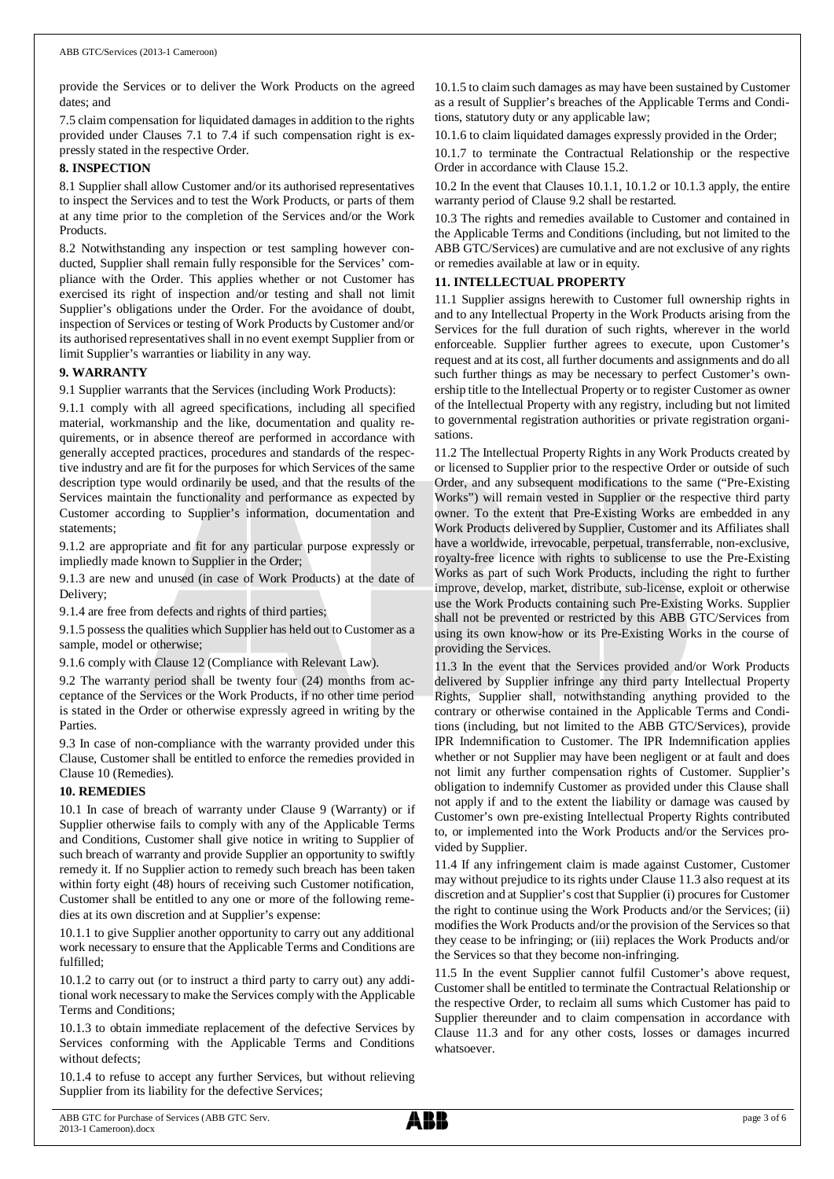provide the Services or to deliver the Work Products on the agreed dates; and

7.5 claim compensation for liquidated damages in addition to the rights provided under Clauses 7.1 to 7.4 if such compensation right is expressly stated in the respective Order.

## **8. INSPECTION**

8.1 Supplier shall allow Customer and/or its authorised representatives to inspect the Services and to test the Work Products, or parts of them at any time prior to the completion of the Services and/or the Work Products.

8.2 Notwithstanding any inspection or test sampling however conducted, Supplier shall remain fully responsible for the Services' compliance with the Order. This applies whether or not Customer has exercised its right of inspection and/or testing and shall not limit Supplier's obligations under the Order. For the avoidance of doubt, inspection of Services or testing of Work Products by Customer and/or its authorised representatives shall in no event exempt Supplier from or limit Supplier's warranties or liability in any way.

## **9. WARRANTY**

9.1 Supplier warrants that the Services (including Work Products):

9.1.1 comply with all agreed specifications, including all specified material, workmanship and the like, documentation and quality requirements, or in absence thereof are performed in accordance with generally accepted practices, procedures and standards of the respective industry and are fit for the purposes for which Services of the same description type would ordinarily be used, and that the results of the Services maintain the functionality and performance as expected by Customer according to Supplier's information, documentation and statements;

9.1.2 are appropriate and fit for any particular purpose expressly or impliedly made known to Supplier in the Order;

9.1.3 are new and unused (in case of Work Products) at the date of Delivery;

9.1.4 are free from defects and rights of third parties;

9.1.5 possess the qualities which Supplier has held out to Customer as a sample, model or otherwise;

9.1.6 comply with Clause 12 (Compliance with Relevant Law).

9.2 The warranty period shall be twenty four (24) months from acceptance of the Services or the Work Products, if no other time period is stated in the Order or otherwise expressly agreed in writing by the Parties.

9.3 In case of non-compliance with the warranty provided under this Clause, Customer shall be entitled to enforce the remedies provided in Clause 10 (Remedies).

## **10. REMEDIES**

10.1 In case of breach of warranty under Clause 9 (Warranty) or if Supplier otherwise fails to comply with any of the Applicable Terms and Conditions, Customer shall give notice in writing to Supplier of such breach of warranty and provide Supplier an opportunity to swiftly remedy it. If no Supplier action to remedy such breach has been taken within forty eight (48) hours of receiving such Customer notification, Customer shall be entitled to any one or more of the following remedies at its own discretion and at Supplier's expense:

10.1.1 to give Supplier another opportunity to carry out any additional work necessary to ensure that the Applicable Terms and Conditions are fulfilled;

10.1.2 to carry out (or to instruct a third party to carry out) any additional work necessary to make the Services comply with the Applicable Terms and Conditions;

10.1.3 to obtain immediate replacement of the defective Services by Services conforming with the Applicable Terms and Conditions without defects;

10.1.4 to refuse to accept any further Services, but without relieving Supplier from its liability for the defective Services;

10.1.5 to claim such damages as may have been sustained by Customer as a result of Supplier's breaches of the Applicable Terms and Conditions, statutory duty or any applicable law;

10.1.6 to claim liquidated damages expressly provided in the Order;

10.1.7 to terminate the Contractual Relationship or the respective Order in accordance with Clause 15.2.

10.2 In the event that Clauses 10.1.1, 10.1.2 or 10.1.3 apply, the entire warranty period of Clause 9.2 shall be restarted.

10.3 The rights and remedies available to Customer and contained in the Applicable Terms and Conditions (including, but not limited to the ABB GTC/Services) are cumulative and are not exclusive of any rights or remedies available at law or in equity.

## **11. INTELLECTUAL PROPERTY**

11.1 Supplier assigns herewith to Customer full ownership rights in and to any Intellectual Property in the Work Products arising from the Services for the full duration of such rights, wherever in the world enforceable. Supplier further agrees to execute, upon Customer's request and at its cost, all further documents and assignments and do all such further things as may be necessary to perfect Customer's ownership title to the Intellectual Property or to register Customer as owner of the Intellectual Property with any registry, including but not limited to governmental registration authorities or private registration organisations.

11.2 The Intellectual Property Rights in any Work Products created by or licensed to Supplier prior to the respective Order or outside of such Order, and any subsequent modifications to the same ("Pre-Existing Works") will remain vested in Supplier or the respective third party owner. To the extent that Pre-Existing Works are embedded in any Work Products delivered by Supplier, Customer and its Affiliates shall have a worldwide, irrevocable, perpetual, transferrable, non-exclusive, royalty-free licence with rights to sublicense to use the Pre-Existing Works as part of such Work Products, including the right to further improve, develop, market, distribute, sub-license, exploit or otherwise use the Work Products containing such Pre-Existing Works. Supplier shall not be prevented or restricted by this ABB GTC/Services from using its own know-how or its Pre-Existing Works in the course of providing the Services.

11.3 In the event that the Services provided and/or Work Products delivered by Supplier infringe any third party Intellectual Property Rights, Supplier shall, notwithstanding anything provided to the contrary or otherwise contained in the Applicable Terms and Conditions (including, but not limited to the ABB GTC/Services), provide IPR Indemnification to Customer. The IPR Indemnification applies whether or not Supplier may have been negligent or at fault and does not limit any further compensation rights of Customer. Supplier's obligation to indemnify Customer as provided under this Clause shall not apply if and to the extent the liability or damage was caused by Customer's own pre-existing Intellectual Property Rights contributed to, or implemented into the Work Products and/or the Services provided by Supplier.

11.4 If any infringement claim is made against Customer, Customer may without prejudice to its rights under Clause 11.3 also request at its discretion and at Supplier's cost that Supplier (i) procures for Customer the right to continue using the Work Products and/or the Services; (ii) modifies the Work Products and/or the provision of the Services so that they cease to be infringing; or (iii) replaces the Work Products and/or the Services so that they become non-infringing.

11.5 In the event Supplier cannot fulfil Customer's above request, Customer shall be entitled to terminate the Contractual Relationship or the respective Order, to reclaim all sums which Customer has paid to Supplier thereunder and to claim compensation in accordance with Clause 11.3 and for any other costs, losses or damages incurred whatsoever.

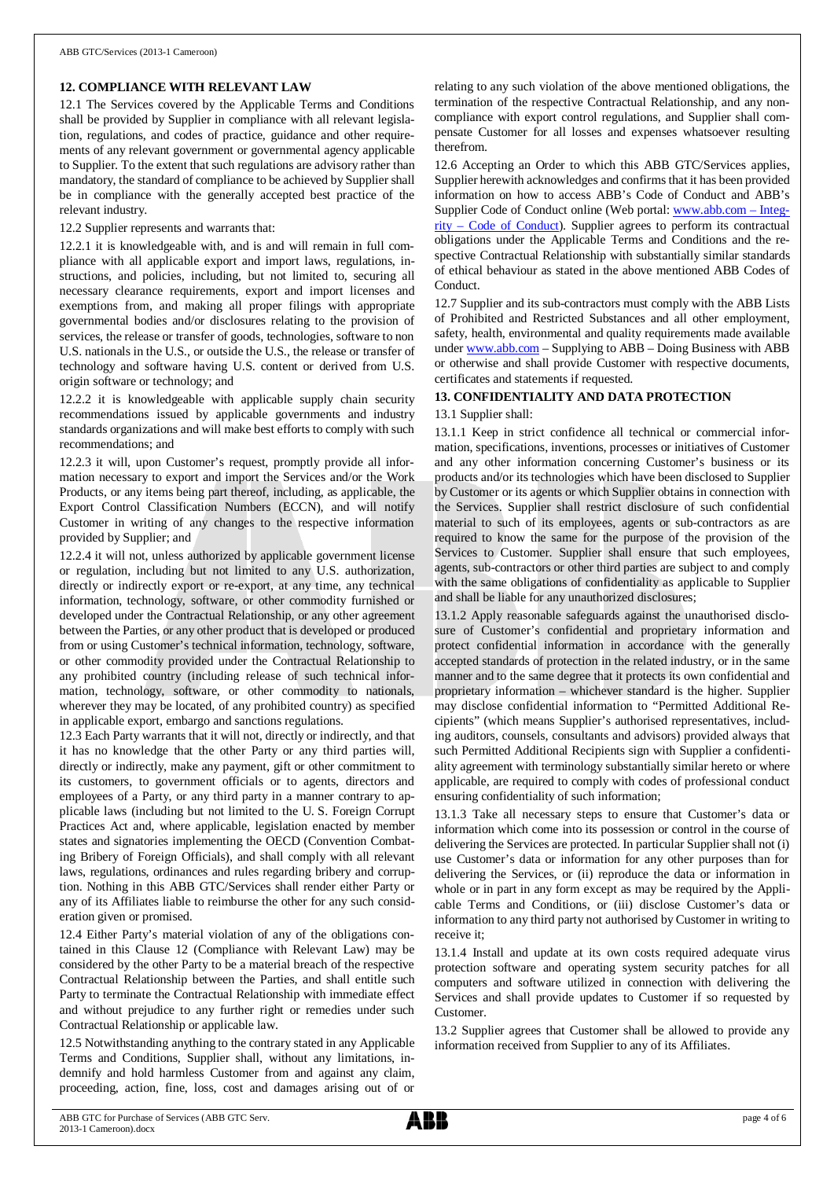## **12. COMPLIANCE WITH RELEVANT LAW**

12.1 The Services covered by the Applicable Terms and Conditions shall be provided by Supplier in compliance with all relevant legislation, regulations, and codes of practice, guidance and other requirements of any relevant government or governmental agency applicable to Supplier. To the extent that such regulations are advisory rather than mandatory, the standard of compliance to be achieved by Supplier shall be in compliance with the generally accepted best practice of the relevant industry.

12.2 Supplier represents and warrants that:

12.2.1 it is knowledgeable with, and is and will remain in full compliance with all applicable export and import laws, regulations, instructions, and policies, including, but not limited to, securing all necessary clearance requirements, export and import licenses and exemptions from, and making all proper filings with appropriate governmental bodies and/or disclosures relating to the provision of services, the release or transfer of goods, technologies, software to non U.S. nationals in the U.S., or outside the U.S., the release or transfer of technology and software having U.S. content or derived from U.S. origin software or technology; and

12.2.2 it is knowledgeable with applicable supply chain security recommendations issued by applicable governments and industry standards organizations and will make best efforts to comply with such recommendations; and

12.2.3 it will, upon Customer's request, promptly provide all information necessary to export and import the Services and/or the Work Products, or any items being part thereof, including, as applicable, the Export Control Classification Numbers (ECCN), and will notify Customer in writing of any changes to the respective information provided by Supplier; and

12.2.4 it will not, unless authorized by applicable government license or regulation, including but not limited to any U.S. authorization, directly or indirectly export or re-export, at any time, any technical information, technology, software, or other commodity furnished or developed under the Contractual Relationship, or any other agreement between the Parties, or any other product that is developed or produced from or using Customer's technical information, technology, software, or other commodity provided under the Contractual Relationship to any prohibited country (including release of such technical information, technology, software, or other commodity to nationals, wherever they may be located, of any prohibited country) as specified in applicable export, embargo and sanctions regulations.

12.3 Each Party warrants that it will not, directly or indirectly, and that it has no knowledge that the other Party or any third parties will, directly or indirectly, make any payment, gift or other commitment to its customers, to government officials or to agents, directors and employees of a Party, or any third party in a manner contrary to applicable laws (including but not limited to the U. S. Foreign Corrupt Practices Act and, where applicable, legislation enacted by member states and signatories implementing the OECD (Convention Combating Bribery of Foreign Officials), and shall comply with all relevant laws, regulations, ordinances and rules regarding bribery and corruption. Nothing in this ABB GTC/Services shall render either Party or any of its Affiliates liable to reimburse the other for any such consideration given or promised.

12.4 Either Party's material violation of any of the obligations contained in this Clause 12 (Compliance with Relevant Law) may be considered by the other Party to be a material breach of the respective Contractual Relationship between the Parties, and shall entitle such Party to terminate the Contractual Relationship with immediate effect and without prejudice to any further right or remedies under such Contractual Relationship or applicable law.

12.5 Notwithstanding anything to the contrary stated in any Applicable Terms and Conditions, Supplier shall, without any limitations, indemnify and hold harmless Customer from and against any claim, proceeding, action, fine, loss, cost and damages arising out of or

relating to any such violation of the above mentioned obligations, the termination of the respective Contractual Relationship, and any noncompliance with export control regulations, and Supplier shall compensate Customer for all losses and expenses whatsoever resulting therefrom.

12.6 Accepting an Order to which this ABB GTC/Services applies, Supplier herewith acknowledges and confirms that it has been provided information on how to access ABB's Code of Conduct and ABB's Supplier Code of Conduct online (Web portal: [www.abb.com](http://www.abb.com/) – Integrity – Code of Conduct). Supplier agrees to perform its contractual obligations under the Applicable Terms and Conditions and the respective Contractual Relationship with substantially similar standards of ethical behaviour as stated in the above mentioned ABB Codes of Conduct.

12.7 Supplier and its sub-contractors must comply with the ABB Lists of Prohibited and Restricted Substances and all other employment, safety, health, environmental and quality requirements made available under [www.abb.com](http://www.abb.com/) – Supplying to ABB – Doing Business with ABB or otherwise and shall provide Customer with respective documents, certificates and statements if requested.

## **13. CONFIDENTIALITY AND DATA PROTECTION**

## 13.1 Supplier shall:

13.1.1 Keep in strict confidence all technical or commercial information, specifications, inventions, processes or initiatives of Customer and any other information concerning Customer's business or its products and/or its technologies which have been disclosed to Supplier by Customer or its agents or which Supplier obtains in connection with the Services. Supplier shall restrict disclosure of such confidential material to such of its employees, agents or sub-contractors as are required to know the same for the purpose of the provision of the Services to Customer. Supplier shall ensure that such employees, agents, sub-contractors or other third parties are subject to and comply with the same obligations of confidentiality as applicable to Supplier and shall be liable for any unauthorized disclosures;

13.1.2 Apply reasonable safeguards against the unauthorised disclosure of Customer's confidential and proprietary information and protect confidential information in accordance with the generally accepted standards of protection in the related industry, or in the same manner and to the same degree that it protects its own confidential and proprietary information – whichever standard is the higher. Supplier may disclose confidential information to "Permitted Additional Recipients" (which means Supplier's authorised representatives, including auditors, counsels, consultants and advisors) provided always that such Permitted Additional Recipients sign with Supplier a confidentiality agreement with terminology substantially similar hereto or where applicable, are required to comply with codes of professional conduct ensuring confidentiality of such information;

13.1.3 Take all necessary steps to ensure that Customer's data or information which come into its possession or control in the course of delivering the Services are protected. In particular Supplier shall not (i) use Customer's data or information for any other purposes than for delivering the Services, or (ii) reproduce the data or information in whole or in part in any form except as may be required by the Applicable Terms and Conditions, or (iii) disclose Customer's data or information to any third party not authorised by Customer in writing to receive it;

13.1.4 Install and update at its own costs required adequate virus protection software and operating system security patches for all computers and software utilized in connection with delivering the Services and shall provide updates to Customer if so requested by Customer.

13.2 Supplier agrees that Customer shall be allowed to provide any information received from Supplier to any of its Affiliates.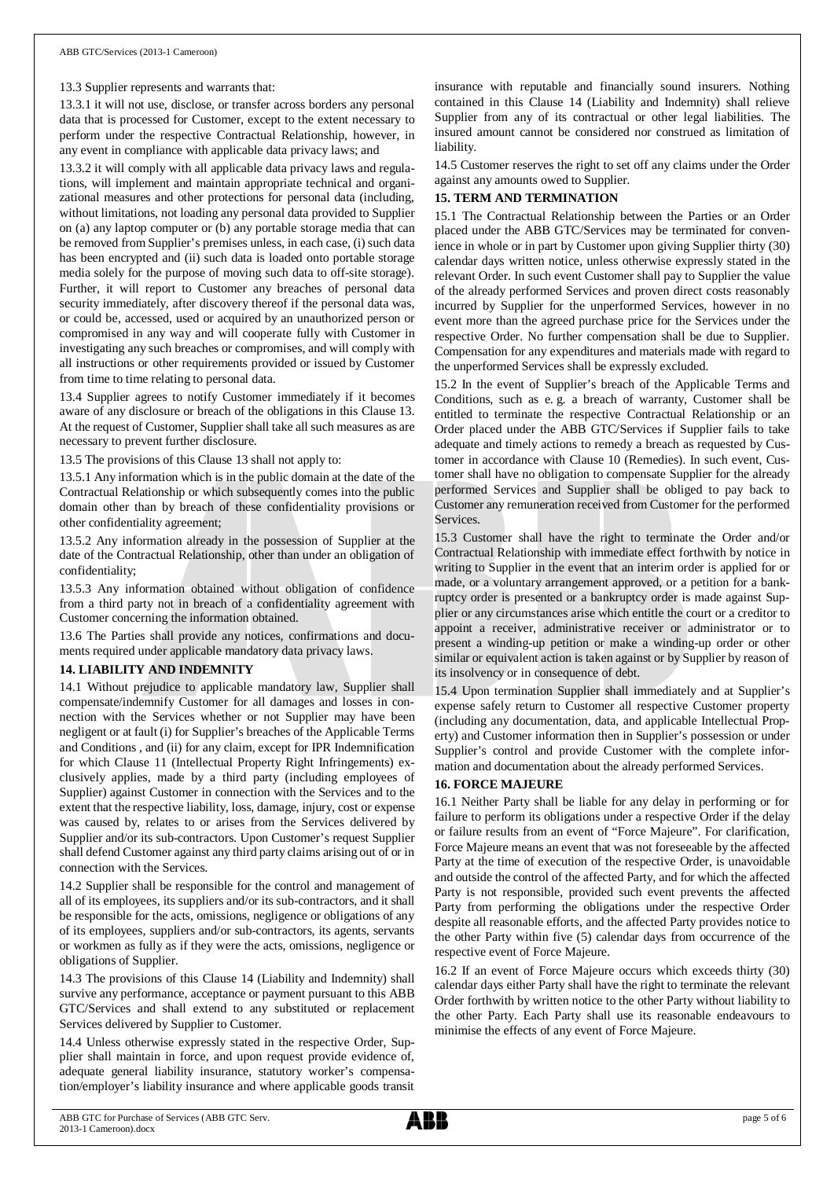## 13.3 Supplier represents and warrants that:

13.3.1 it will not use, disclose, or transfer across borders any personal data that is processed for Customer, except to the extent necessary to perform under the respective Contractual Relationship, however, in any event in compliance with applicable data privacy laws; and

13.3.2 it will comply with all applicable data privacy laws and regulations, will implement and maintain appropriate technical and organizational measures and other protections for personal data (including, without limitations, not loading any personal data provided to Supplier on (a) any laptop computer or (b) any portable storage media that can be removed from Supplier's premises unless, in each case, (i) such data has been encrypted and (ii) such data is loaded onto portable storage media solely for the purpose of moving such data to off-site storage). Further, it will report to Customer any breaches of personal data security immediately, after discovery thereof if the personal data was, or could be, accessed, used or acquired by an unauthorized person or compromised in any way and will cooperate fully with Customer in investigating any such breaches or compromises, and will comply with all instructions or other requirements provided or issued by Customer from time to time relating to personal data.

13.4 Supplier agrees to notify Customer immediately if it becomes aware of any disclosure or breach of the obligations in this Clause 13. At the request of Customer, Supplier shall take all such measures as are necessary to prevent further disclosure.

13.5 The provisions of this Clause 13 shall not apply to:

13.5.1 Any information which is in the public domain at the date of the Contractual Relationship or which subsequently comes into the public domain other than by breach of these confidentiality provisions or other confidentiality agreement;

13.5.2 Any information already in the possession of Supplier at the date of the Contractual Relationship, other than under an obligation of confidentiality;

13.5.3 Any information obtained without obligation of confidence from a third party not in breach of a confidentiality agreement with Customer concerning the information obtained.

13.6 The Parties shall provide any notices, confirmations and documents required under applicable mandatory data privacy laws.

#### **14. LIABILITY AND INDEMNITY**

14.1 Without prejudice to applicable mandatory law, Supplier shall compensate/indemnify Customer for all damages and losses in connection with the Services whether or not Supplier may have been negligent or at fault (i) for Supplier's breaches of the Applicable Terms and Conditions , and (ii) for any claim, except for IPR Indemnification for which Clause 11 (Intellectual Property Right Infringements) exclusively applies, made by a third party (including employees of Supplier) against Customer in connection with the Services and to the extent that the respective liability, loss, damage, injury, cost or expense was caused by, relates to or arises from the Services delivered by Supplier and/or its sub-contractors. Upon Customer's request Supplier shall defend Customer against any third party claims arising out of or in connection with the Services.

14.2 Supplier shall be responsible for the control and management of all of its employees, its suppliers and/or its sub-contractors, and it shall be responsible for the acts, omissions, negligence or obligations of any of its employees, suppliers and/or sub-contractors, its agents, servants or workmen as fully as if they were the acts, omissions, negligence or obligations of Supplier.

14.3 The provisions of this Clause 14 (Liability and Indemnity) shall survive any performance, acceptance or payment pursuant to this ABB GTC/Services and shall extend to any substituted or replacement Services delivered by Supplier to Customer.

14.4 Unless otherwise expressly stated in the respective Order, Supplier shall maintain in force, and upon request provide evidence of, adequate general liability insurance, statutory worker's compensation/employer's liability insurance and where applicable goods transit

insurance with reputable and financially sound insurers. Nothing contained in this Clause 14 (Liability and Indemnity) shall relieve Supplier from any of its contractual or other legal liabilities. The insured amount cannot be considered nor construed as limitation of liability.

14.5 Customer reserves the right to set off any claims under the Order against any amounts owed to Supplier.

## **15. TERM AND TERMINATION**

15.1 The Contractual Relationship between the Parties or an Order placed under the ABB GTC/Services may be terminated for convenience in whole or in part by Customer upon giving Supplier thirty (30) calendar days written notice, unless otherwise expressly stated in the relevant Order. In such event Customer shall pay to Supplier the value of the already performed Services and proven direct costs reasonably incurred by Supplier for the unperformed Services, however in no event more than the agreed purchase price for the Services under the respective Order. No further compensation shall be due to Supplier. Compensation for any expenditures and materials made with regard to the unperformed Services shall be expressly excluded.

15.2 In the event of Supplier's breach of the Applicable Terms and Conditions, such as e. g. a breach of warranty, Customer shall be entitled to terminate the respective Contractual Relationship or an Order placed under the ABB GTC/Services if Supplier fails to take adequate and timely actions to remedy a breach as requested by Customer in accordance with Clause 10 (Remedies). In such event, Customer shall have no obligation to compensate Supplier for the already performed Services and Supplier shall be obliged to pay back to Customer any remuneration received from Customer for the performed **Services** 

15.3 Customer shall have the right to terminate the Order and/or Contractual Relationship with immediate effect forthwith by notice in writing to Supplier in the event that an interim order is applied for or made, or a voluntary arrangement approved, or a petition for a bankruptcy order is presented or a bankruptcy order is made against Supplier or any circumstances arise which entitle the court or a creditor to appoint a receiver, administrative receiver or administrator or to present a winding-up petition or make a winding-up order or other similar or equivalent action is taken against or by Supplier by reason of its insolvency or in consequence of debt.

15.4 Upon termination Supplier shall immediately and at Supplier's expense safely return to Customer all respective Customer property (including any documentation, data, and applicable Intellectual Property) and Customer information then in Supplier's possession or under Supplier's control and provide Customer with the complete information and documentation about the already performed Services.

## **16. FORCE MAJEURE**

16.1 Neither Party shall be liable for any delay in performing or for failure to perform its obligations under a respective Order if the delay or failure results from an event of "Force Majeure". For clarification, Force Majeure means an event that was not foreseeable by the affected Party at the time of execution of the respective Order, is unavoidable and outside the control of the affected Party, and for which the affected Party is not responsible, provided such event prevents the affected Party from performing the obligations under the respective Order despite all reasonable efforts, and the affected Party provides notice to the other Party within five (5) calendar days from occurrence of the respective event of Force Majeure.

16.2 If an event of Force Majeure occurs which exceeds thirty (30) calendar days either Party shall have the right to terminate the relevant Order forthwith by written notice to the other Party without liability to the other Party. Each Party shall use its reasonable endeavours to minimise the effects of any event of Force Majeure.